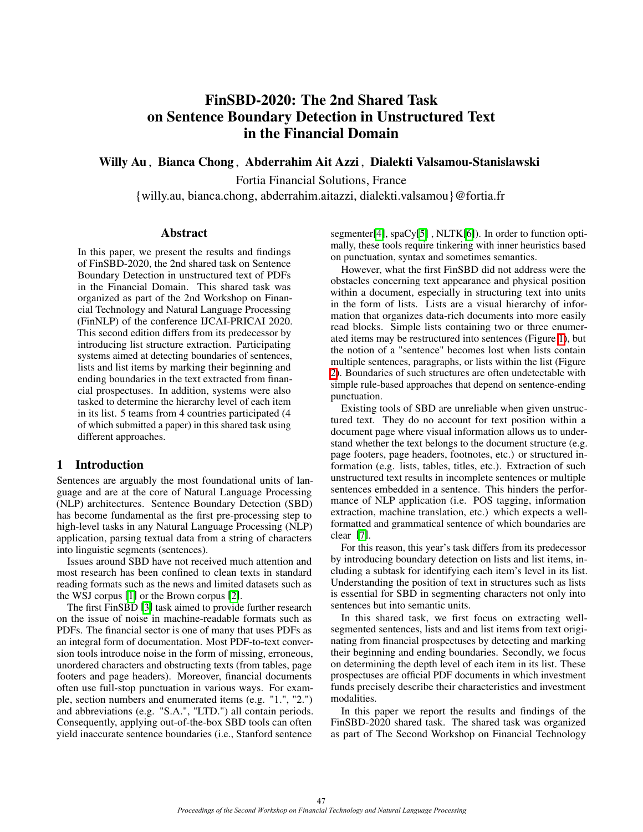# FinSBD-2020: The 2nd Shared Task on Sentence Boundary Detection in Unstructured Text in the Financial Domain

Willy Au , Bianca Chong , Abderrahim Ait Azzi , Dialekti Valsamou-Stanislawski

Fortia Financial Solutions, France

{willy.au, bianca.chong, abderrahim.aitazzi, dialekti.valsamou}@fortia.fr

#### Abstract

In this paper, we present the results and findings of FinSBD-2020, the 2nd shared task on Sentence Boundary Detection in unstructured text of PDFs in the Financial Domain. This shared task was organized as part of the 2nd Workshop on Financial Technology and Natural Language Processing (FinNLP) of the conference IJCAI-PRICAI 2020. This second edition differs from its predecessor by introducing list structure extraction. Participating systems aimed at detecting boundaries of sentences, lists and list items by marking their beginning and ending boundaries in the text extracted from financial prospectuses. In addition, systems were also tasked to determine the hierarchy level of each item in its list. 5 teams from 4 countries participated (4 of which submitted a paper) in this shared task using different approaches.

## 1 Introduction

Sentences are arguably the most foundational units of language and are at the core of Natural Language Processing (NLP) architectures. Sentence Boundary Detection (SBD) has become fundamental as the first pre-processing step to high-level tasks in any Natural Language Processing (NLP) application, parsing textual data from a string of characters into linguistic segments (sentences).

Issues around SBD have not received much attention and most research has been confined to clean texts in standard reading formats such as the news and limited datasets such as the WSJ corpus  $\llbracket 1 \rrbracket$  or the Brown corpus  $\llbracket 2 \rrbracket$ .

The first FinSBD [\[3\]](#page-6-2) task aimed to provide further research on the issue of noise in machine-readable formats such as PDFs. The financial sector is one of many that uses PDFs as an integral form of documentation. Most PDF-to-text conversion tools introduce noise in the form of missing, erroneous, unordered characters and obstructing texts (from tables, page footers and page headers). Moreover, financial documents often use full-stop punctuation in various ways. For example, section numbers and enumerated items (e.g. "1.", "2.") and abbreviations (e.g. "S.A.", "LTD.") all contain periods. Consequently, applying out-of-the-box SBD tools can often yield inaccurate sentence boundaries (i.e., Stanford sentence

segmenter $[4]$ , spaCy $[5]$ , NLTK $[6]$ ). In order to function optimally, these tools require tinkering with inner heuristics based on punctuation, syntax and sometimes semantics.

However, what the first FinSBD did not address were the obstacles concerning text appearance and physical position within a document, especially in structuring text into units in the form of lists. Lists are a visual hierarchy of information that organizes data-rich documents into more easily read blocks. Simple lists containing two or three enumerated items may be restructured into sentences (Figure  $\overline{1}$ ), but the notion of a "sentence" becomes lost when lists contain multiple sentences, paragraphs, or lists within the list (Figure [2\)](#page-1-1). Boundaries of such structures are often undetectable with simple rule-based approaches that depend on sentence-ending punctuation.

Existing tools of SBD are unreliable when given unstructured text. They do no account for text position within a document page where visual information allows us to understand whether the text belongs to the document structure (e.g. page footers, page headers, footnotes, etc.) or structured information (e.g. lists, tables, titles, etc.). Extraction of such unstructured text results in incomplete sentences or multiple sentences embedded in a sentence. This hinders the performance of NLP application (i.e. POS tagging, information extraction, machine translation, etc.) which expects a wellformatted and grammatical sentence of which boundaries are clear [\[7\]](#page-6-6).

For this reason, this year's task differs from its predecessor by introducing boundary detection on lists and list items, including a subtask for identifying each item's level in its list. Understanding the position of text in structures such as lists is essential for SBD in segmenting characters not only into sentences but into semantic units.

In this shared task, we first focus on extracting wellsegmented sentences, lists and and list items from text originating from financial prospectuses by detecting and marking their beginning and ending boundaries. Secondly, we focus on determining the depth level of each item in its list. These prospectuses are official PDF documents in which investment funds precisely describe their characteristics and investment modalities.

In this paper we report the results and findings of the FinSBD-2020 shared task. The shared task was organized as part of The Second Workshop on Financial Technology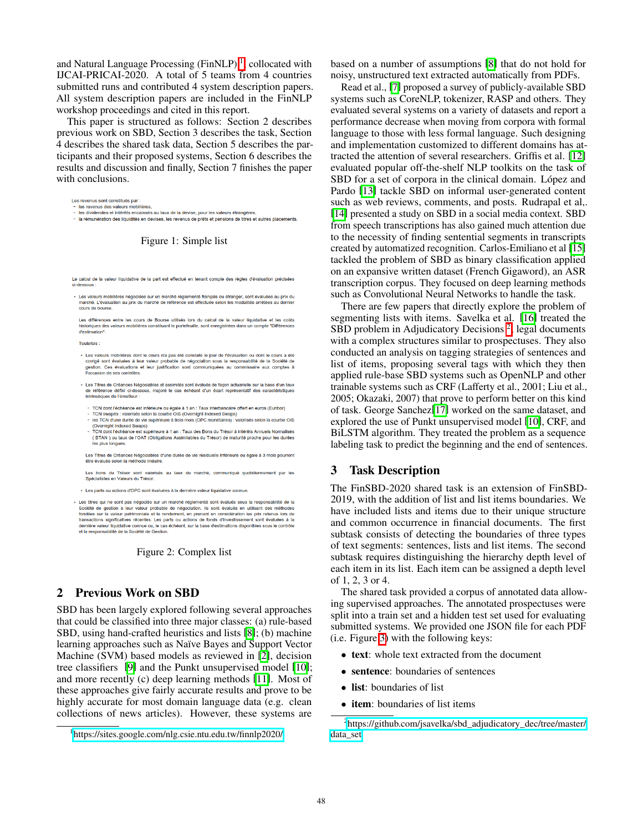and Natural Language Processing (FinNLP)<sup><sup>[]</sup>, collocated with</sup> IJCAI-PRICAI-2020. A total of 5 teams from 4 countries submitted runs and contributed 4 system description papers. All system description papers are included in the FinNLP workshop proceedings and cited in this report.

This paper is structured as follows: Section 2 describes previous work on SBD, Section 3 describes the task, Section 4 describes the shared task data, Section 5 describes the participants and their proposed systems, Section 6 describes the results and discussion and finally, Section 7 finishes the paper with conclusions.

<span id="page-1-0"></span>Les revenus sont constitués par - les revenus des valeurs mobilières

les dividendes et intérêts encaissés au taux de la devise, pour les valeurs étrangères

la rémunération des liquidités en devises, les revenus de prêts et pensions de titres et autres placements

Figure 1: Simple list

<span id="page-1-1"></span>Le calcul de la valeur liquidative de la part est effectué en tenant compte des règles d'évaluation précisées **Ci-dessous** 

• Les valeurs mobilières négociées sur un marché réglementé français ou étranger, sont évaluées au prix du<br>marché. L'évaluation au prix du marché de référence est effectuée selon les modalités arrêtées au dernier<br>cours de

Les différences entre les cours de Bourse utilisés lors du calcul de la valeur liquidative et les coûts historiques des valeurs mobilières constituant le portefeuille, sont enregistrées dans un compte "Différences d'estimation".

Toutefois:

- · Les valeurs mobilières dont le cours n'a pas été constaté le jour de l'évaluation ou dont le co corrigé sont évaluées à leur valeur probable de négociation sous la responsabilité de la Société de<br>gestion. Ces évaluations et leur justification sont communiquées au commissaire aux comptes à l'occasion de ses contrôles.
- · Les Titres de Créances Négociables et assimilés sont évalués de façon actuarielle sur la base d'un taux référence défini ci-dessous, majoré le cas échéant d'un écart représentatif des caracté intrinsèques de l'émetteur
	- TCN dont l'échéance est inférieure ou égale à 1 an : Taux interbancaire offert en euros (Euribor)<br>TCN swapés : valorisés selon la courbe OIS (Overnight Indexed Swaps)
	- les TCN d'une durée de vie supérieure à trois mois (OPC monétaires) : valorisés selon la courbe OIS (Overnight Indexed Swaps)
	- TCN dont l'échéance est supérieure à 1 an : Taux des Bons du Trésor à intérêts Annuels Normalisés (BTAN) ou taux de l'OAT (Obligations Assimilables du Trésor) de maturité proche pour les durées

Les Titres de Créances Négociables d'une durée de vie résiduelle inférieure ou égale à 3 mois pourront être évalués selon la méthode linéaire

Les bons du Trésor sont valorisés au taux du marché, communiqué quotidiennement par les Spécialistes en Valeurs du Trésor.

· Les parts ou actions d'OPC sont évaluées à la dernière valeur liquidative connue

· Les titres qui ne sont pas négociés sur un marché réglementé sont évalués sous la responsabilité de la Société de gestion à leur valeur probable de négociation. Ils sont évalués en utilisant des méthodes fondées sur la valeur patrimoniale et le rendement, en prenant en considération les prix retenus lors de transactions significatives récentes. Les parts ou actions de fonds d'investissement sont évaluées à la<br>dernière valeur liquidative connue ou, le cas échéant, sur la base d'estimations disponibles sous le contrôle<br>et la re

#### Figure 2: Complex list

#### <span id="page-1-5"></span>2 Previous Work on SBD

SBD has been largely explored following several approaches that could be classified into three major classes: (a) rule-based SBD, using hand-crafted heuristics and lists  $[8]$ ; (b) machine learning approaches such as Naïve Bayes and Support Vector Machine (SVM) based models as reviewed in [\[2\]](#page-6-1), decision tree classifiers  $[9]$  and the Punkt unsupervised model  $[10]$ ; and more recently (c) deep learning methods [\[11\]](#page-6-10). Most of these approaches give fairly accurate results and prove to be highly accurate for most domain language data (e.g. clean collections of news articles). However, these systems are based on a number of assumptions [\[8\]](#page-6-7) that do not hold for noisy, unstructured text extracted automatically from PDFs.

Read et al., [\[7\]](#page-6-6) proposed a survey of publicly-available SBD systems such as CoreNLP, tokenizer, RASP and others. They evaluated several systems on a variety of datasets and report a performance decrease when moving from corpora with formal language to those with less formal language. Such designing and implementation customized to different domains has attracted the attention of several researchers. Griffis et al. [\[12\]](#page-6-11) evaluated popular off-the-shelf NLP toolkits on the task of SBD for a set of corpora in the clinical domain. López and Pardo [\[13\]](#page-6-12) tackle SBD on informal user-generated content such as web reviews, comments, and posts. Rudrapal et al,. [\[14\]](#page-6-13) presented a study on SBD in a social media context. SBD from speech transcriptions has also gained much attention due to the necessity of finding sentential segments in transcripts created by automatized recognition. Carlos-Emiliano et al [\[15\]](#page-6-14) tackled the problem of SBD as binary classification applied on an expansive written dataset (French Gigaword), an ASR transcription corpus. They focused on deep learning methods such as Convolutional Neural Networks to handle the task.

There are few papers that directly explore the problem of segmenting lists with items. Savelka et al. [\[16\]](#page-6-15) treated the SBD problem in Adjudicatory Decisions<sup>[2](#page-1-3)</sup>, legal documents with a complex structures similar to prospectuses. They also conducted an analysis on tagging strategies of sentences and list of items, proposing several tags with which they then applied rule-base SBD systems such as OpenNLP and other trainable systems such as CRF (Lafferty et al., 2001; Liu et al., 2005; Okazaki, 2007) that prove to perform better on this kind of task. George Sanchez[\[17\]](#page-6-16) worked on the same dataset, and explored the use of Punkt unsupervised model [\[10\]](#page-6-9), CRF, and BiLSTM algorithm. They treated the problem as a sequence labeling task to predict the beginning and the end of sentences.

#### <span id="page-1-4"></span>3 Task Description

The FinSBD-2020 shared task is an extension of FinSBD-2019, with the addition of list and list items boundaries. We have included lists and items due to their unique structure and common occurrence in financial documents. The first subtask consists of detecting the boundaries of three types of text segments: sentences, lists and list items. The second subtask requires distinguishing the hierarchy depth level of each item in its list. Each item can be assigned a depth level of 1, 2, 3 or 4.

The shared task provided a corpus of annotated data allowing supervised approaches. The annotated prospectuses were split into a train set and a hidden test set used for evaluating submitted systems. We provided one JSON file for each PDF (i.e. Figure  $3$ ) with the following keys:

- text: whole text extracted from the document
- sentence: boundaries of sentences
- list: boundaries of list
- item: boundaries of list items

<span id="page-1-2"></span><sup>1</sup> <https://sites.google.com/nlg.csie.ntu.edu.tw/finnlp2020/>

<span id="page-1-3"></span><sup>&</sup>lt;sup>2</sup>[https://github.com/jsavelka/sbd\\_adjudicatory\\_dec/tree/master/](https://github.com/jsavelka/sbd_adjudicatory_dec/tree/master/data_set) [data\\_set](https://github.com/jsavelka/sbd_adjudicatory_dec/tree/master/data_set)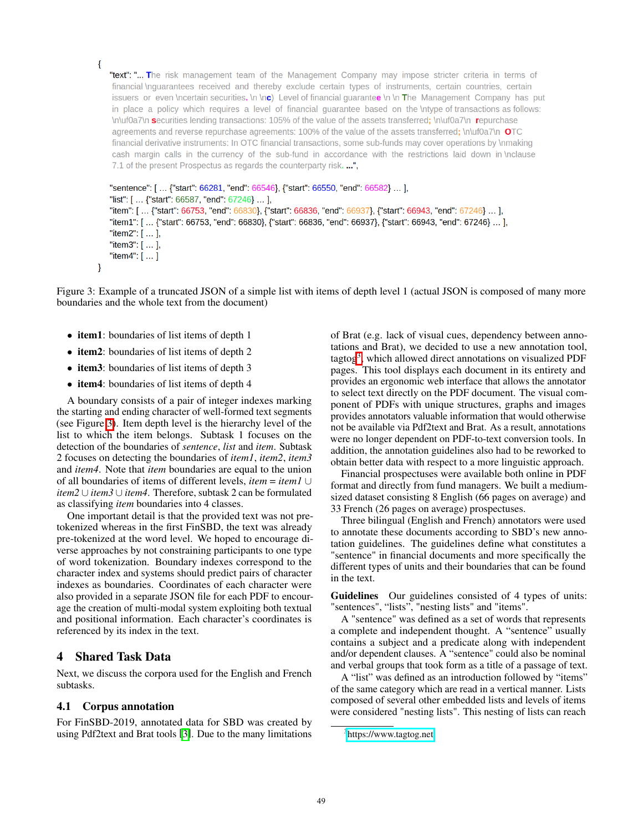"text": "... The risk management team of the Management Company may impose stricter criteria in terms of financial Inguarantees received and thereby exclude certain types of instruments, certain countries, certain issuers or even \ncertain securities. \n \nc \nc Level of financial quarantee \n \n The Management Company has put in place a policy which requires a level of financial quarantee based on the \ntype of transactions as follows: Inluf0a7\n securities lending transactions: 105% of the value of the assets transferred; \n\uf0a7\n repurchase agreements and reverse repurchase agreements: 100% of the value of the assets transferred; \n\uf0a7\n  $\mathbf{O}$ TC financial derivative instruments: In OTC financial transactions, some sub-funds may cover operations by \nmaking cash margin calls in the currency of the sub-fund in accordance with the restrictions laid down in \nclause 7.1 of the present Prospectus as regards the counterparty risk. ...",

```
"sentence": [ ... {"start": 66281, "end": 66546}, {"start": 66550, "end": 66582} ... ],
"list": [ ... {"start": 66587, "end": 67246} ... ],
"item": [... {"start": 66753, "end": 66830}, {"start": 66836, "end": 66937}, {"start": 66943, "end": 67246} ... ],
"item1": [... {"start": 66753, "end": 66830}, {"start": 66836, "end": 66937}, {"start": 66943, "end": 67246} ... ],
"item2": [ ... ]"item3": [ ... ],
"item4": [...]
```
Figure 3: Example of a truncated JSON of a simple list with items of depth level 1 (actual JSON is composed of many more boundaries and the whole text from the document)

• item1: boundaries of list items of depth 1

<span id="page-2-0"></span> $\{$ 

 $\mathcal{F}$ 

- item2: boundaries of list items of depth 2
- item3: boundaries of list items of depth 3
- item4: boundaries of list items of depth 4

A boundary consists of a pair of integer indexes marking the starting and ending character of well-formed text segments (see Figure  $\overline{3}$ ). Item depth level is the hierarchy level of the list to which the item belongs. Subtask 1 focuses on the detection of the boundaries of *sentence*, *list* and *item*. Subtask 2 focuses on detecting the boundaries of *item1*, *item2*, *item3* and *item4*. Note that *item* boundaries are equal to the union of all boundaries of items of different levels, *item* = *item1* ∪ *item2* ∪ *item3* ∪ *item4*. Therefore, subtask 2 can be formulated as classifying *item* boundaries into 4 classes.

One important detail is that the provided text was not pretokenized whereas in the first FinSBD, the text was already pre-tokenized at the word level. We hoped to encourage diverse approaches by not constraining participants to one type of word tokenization. Boundary indexes correspond to the character index and systems should predict pairs of character indexes as boundaries. Coordinates of each character were also provided in a separate JSON file for each PDF to encourage the creation of multi-modal system exploiting both textual and positional information. Each character's coordinates is referenced by its index in the text.

#### 4 Shared Task Data

Next, we discuss the corpora used for the English and French subtasks.

#### 4.1 Corpus annotation

For FinSBD-2019, annotated data for SBD was created by using Pdf2text and Brat tools  $\sqrt{3}$ . Due to the many limitations of Brat (e.g. lack of visual cues, dependency between annotations and Brat), we decided to use a new annotation tool, tagtog<sup>[3](#page-2-1)</sup>, which allowed direct annotations on visualized PDF pages. This tool displays each document in its entirety and provides an ergonomic web interface that allows the annotator to select text directly on the PDF document. The visual component of PDFs with unique structures, graphs and images provides annotators valuable information that would otherwise not be available via Pdf2text and Brat. As a result, annotations were no longer dependent on PDF-to-text conversion tools. In addition, the annotation guidelines also had to be reworked to obtain better data with respect to a more linguistic approach.

Financial prospectuses were available both online in PDF format and directly from fund managers. We built a mediumsized dataset consisting 8 English (66 pages on average) and 33 French (26 pages on average) prospectuses.

Three bilingual (English and French) annotators were used to annotate these documents according to SBD's new annotation guidelines. The guidelines define what constitutes a "sentence" in financial documents and more specifically the different types of units and their boundaries that can be found in the text.

Guidelines Our guidelines consisted of 4 types of units: "sentences", "lists", "nesting lists" and "items".

A "sentence" was defined as a set of words that represents a complete and independent thought. A "sentence" usually contains a subject and a predicate along with independent and/or dependent clauses. A "sentence" could also be nominal and verbal groups that took form as a title of a passage of text.

A "list" was defined as an introduction followed by "items" of the same category which are read in a vertical manner. Lists composed of several other embedded lists and levels of items were considered "nesting lists". This nesting of lists can reach

<span id="page-2-1"></span><sup>&</sup>lt;sup>3</sup><https://www.tagtog.net>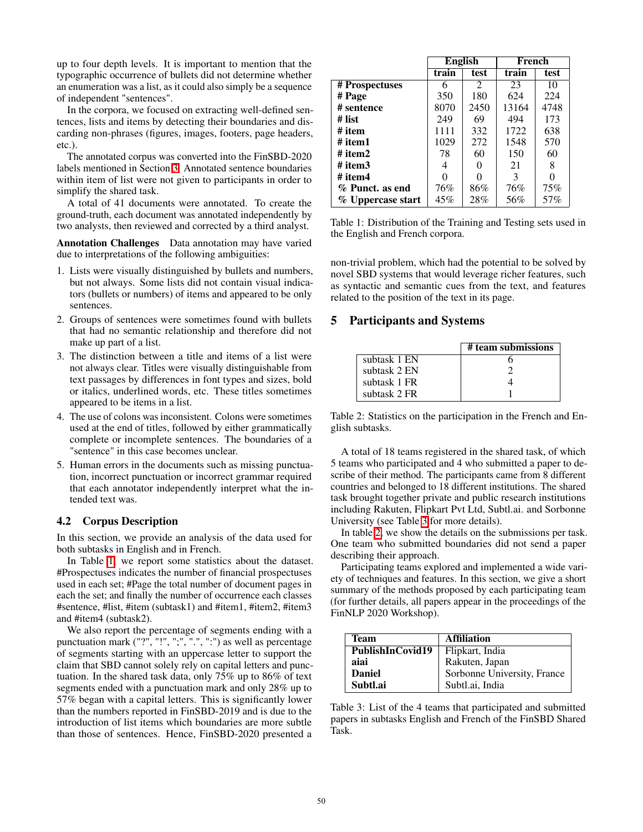up to four depth levels. It is important to mention that the typographic occurrence of bullets did not determine whether an enumeration was a list, as it could also simply be a sequence of independent "sentences".

In the corpora, we focused on extracting well-defined sentences, lists and items by detecting their boundaries and discarding non-phrases (figures, images, footers, page headers, etc.).

The annotated corpus was converted into the FinSBD-2020 labels mentioned in Section [3.](#page-1-4) Annotated sentence boundaries within item of list were not given to participants in order to simplify the shared task.

A total of 41 documents were annotated. To create the ground-truth, each document was annotated independently by two analysts, then reviewed and corrected by a third analyst.

Annotation Challenges Data annotation may have varied due to interpretations of the following ambiguities:

- 1. Lists were visually distinguished by bullets and numbers, but not always. Some lists did not contain visual indicators (bullets or numbers) of items and appeared to be only sentences.
- 2. Groups of sentences were sometimes found with bullets that had no semantic relationship and therefore did not make up part of a list.
- 3. The distinction between a title and items of a list were not always clear. Titles were visually distinguishable from text passages by differences in font types and sizes, bold or italics, underlined words, etc. These titles sometimes appeared to be items in a list.
- 4. The use of colons was inconsistent. Colons were sometimes used at the end of titles, followed by either grammatically complete or incomplete sentences. The boundaries of a "sentence" in this case becomes unclear.
- 5. Human errors in the documents such as missing punctuation, incorrect punctuation or incorrect grammar required that each annotator independently interpret what the intended text was.

#### 4.2 Corpus Description

In this section, we provide an analysis of the data used for both subtasks in English and in French.

In Table  $\overline{1}$ , we report some statistics about the dataset. #Prospectuses indicates the number of financial prospectuses used in each set; #Page the total number of document pages in each the set; and finally the number of occurrence each classes #sentence, #list, #item (subtask1) and #item1, #item2, #item3 and #item4 (subtask2).

We also report the percentage of segments ending with a punctuation mark ("?", "!", ";", ".", ":") as well as percentage of segments starting with an uppercase letter to support the claim that SBD cannot solely rely on capital letters and punctuation. In the shared task data, only 75% up to 86% of text segments ended with a punctuation mark and only 28% up to 57% began with a capital letters. This is significantly lower than the numbers reported in FinSBD-2019 and is due to the introduction of list items which boundaries are more subtle than those of sentences. Hence, FinSBD-2020 presented a

<span id="page-3-0"></span>

|                   | <b>English</b> |                | French |      |
|-------------------|----------------|----------------|--------|------|
|                   | train          | test           | train  | test |
| # Prospectuses    | 6              | $\mathfrak{D}$ | 23     | 10   |
| # Page            | 350            | 180            | 624    | 224  |
| # sentence        | 8070           | 2450           | 13164  | 4748 |
| # list            | 249            | 69             | 494    | 173  |
| # item            | 1111           | 332            | 1722   | 638  |
| # item1           | 1029           | 272            | 1548   | 570  |
| # item2           | 78             | 60             | 150    | 60   |
| # item3           | 4              | 0              | 21     | 8    |
| # item4           | 0              | 0              | 3      |      |
| % Punct. as end   | 76%            | 86%            | 76%    | 75%  |
| % Uppercase start | 45%            | 28%            | 56%    | 57%  |

Table 1: Distribution of the Training and Testing sets used in the English and French corpora.

non-trivial problem, which had the potential to be solved by novel SBD systems that would leverage richer features, such as syntactic and semantic cues from the text, and features related to the position of the text in its page.

## 5 Participants and Systems

<span id="page-3-2"></span>

|              | # team submissions |
|--------------|--------------------|
| subtask 1 EN |                    |
| subtask 2 EN |                    |
| subtask 1 FR |                    |
| subtask 2 FR |                    |

Table 2: Statistics on the participation in the French and English subtasks.

A total of 18 teams registered in the shared task, of which 5 teams who participated and 4 who submitted a paper to describe of their method. The participants came from 8 different countries and belonged to 18 different institutions. The shared task brought together private and public research institutions including Rakuten, Flipkart Pvt Ltd, Subtl.ai. and Sorbonne University (see Table  $\overline{3}$  for more details).

In table  $\sqrt{2}$ , we show the details on the submissions per task. One team who submitted boundaries did not send a paper describing their approach.

Participating teams explored and implemented a wide variety of techniques and features. In this section, we give a short summary of the methods proposed by each participating team (for further details, all papers appear in the proceedings of the FinNLP 2020 Workshop).

<span id="page-3-1"></span>

| Team             | <b>Affiliation</b>          |
|------------------|-----------------------------|
| PublishInCovid19 | Flipkart, India             |
| aiai             | Rakuten, Japan              |
| <b>Daniel</b>    | Sorbonne University, France |
| Subtl.ai         | Subtl.ai, India             |

Table 3: List of the 4 teams that participated and submitted papers in subtasks English and French of the FinSBD Shared Task.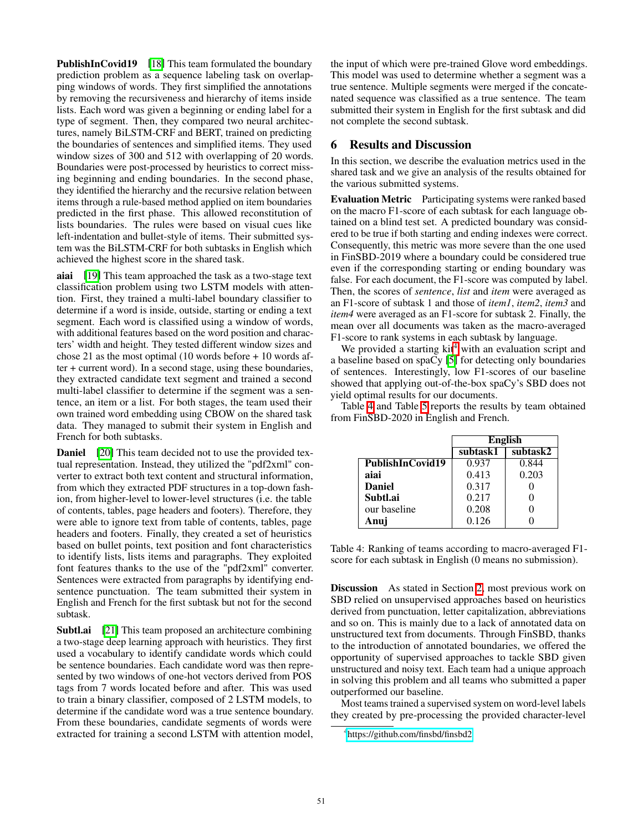**PublishInCovid19** [\[18\]](#page-6-17) This team formulated the boundary prediction problem as a sequence labeling task on overlapping windows of words. They first simplified the annotations by removing the recursiveness and hierarchy of items inside lists. Each word was given a beginning or ending label for a type of segment. Then, they compared two neural architectures, namely BiLSTM-CRF and BERT, trained on predicting the boundaries of sentences and simplified items. They used window sizes of 300 and 512 with overlapping of 20 words. Boundaries were post-processed by heuristics to correct missing beginning and ending boundaries. In the second phase, they identified the hierarchy and the recursive relation between items through a rule-based method applied on item boundaries predicted in the first phase. This allowed reconstitution of lists boundaries. The rules were based on visual cues like left-indentation and bullet-style of items. Their submitted system was the BiLSTM-CRF for both subtasks in English which achieved the highest score in the shared task.

aiai [\[19\]](#page-6-18) This team approached the task as a two-stage text classification problem using two LSTM models with attention. First, they trained a multi-label boundary classifier to determine if a word is inside, outside, starting or ending a text segment. Each word is classified using a window of words, with additional features based on the word position and characters' width and height. They tested different window sizes and chose 21 as the most optimal (10 words before + 10 words after + current word). In a second stage, using these boundaries, they extracted candidate text segment and trained a second multi-label classifier to determine if the segment was a sentence, an item or a list. For both stages, the team used their own trained word embedding using CBOW on the shared task data. They managed to submit their system in English and French for both subtasks.

**Daniel** [\[20\]](#page-6-19) This team decided not to use the provided textual representation. Instead, they utilized the "pdf2xml" converter to extract both text content and structural information, from which they extracted PDF structures in a top-down fashion, from higher-level to lower-level structures (i.e. the table of contents, tables, page headers and footers). Therefore, they were able to ignore text from table of contents, tables, page headers and footers. Finally, they created a set of heuristics based on bullet points, text position and font characteristics to identify lists, lists items and paragraphs. They exploited font features thanks to the use of the "pdf2xml" converter. Sentences were extracted from paragraphs by identifying endsentence punctuation. The team submitted their system in English and French for the first subtask but not for the second subtask.

Subtl.ai [\[21\]](#page-6-20) This team proposed an architecture combining a two-stage deep learning approach with heuristics. They first used a vocabulary to identify candidate words which could be sentence boundaries. Each candidate word was then represented by two windows of one-hot vectors derived from POS tags from 7 words located before and after. This was used to train a binary classifier, composed of 2 LSTM models, to determine if the candidate word was a true sentence boundary. From these boundaries, candidate segments of words were extracted for training a second LSTM with attention model,

the input of which were pre-trained Glove word embeddings. This model was used to determine whether a segment was a true sentence. Multiple segments were merged if the concatenated sequence was classified as a true sentence. The team submitted their system in English for the first subtask and did not complete the second subtask.

## 6 Results and Discussion

In this section, we describe the evaluation metrics used in the shared task and we give an analysis of the results obtained for the various submitted systems.

Evaluation Metric Participating systems were ranked based on the macro F1-score of each subtask for each language obtained on a blind test set. A predicted boundary was considered to be true if both starting and ending indexes were correct. Consequently, this metric was more severe than the one used in FinSBD-2019 where a boundary could be considered true even if the corresponding starting or ending boundary was false. For each document, the F1-score was computed by label. Then, the scores of *sentence*, *list* and *item* were averaged as an F1-score of subtask 1 and those of *item1*, *item2*, *item3* and *item4* were averaged as an F1-score for subtask 2. Finally, the mean over all documents was taken as the macro-averaged F1-score to rank systems in each subtask by language.

We provided a starting kit<sup>[4](#page-4-0)</sup> with an evaluation script and a baseline based on spaCy  $\boxed{5}$  for detecting only boundaries of sentences. Interestingly, low F1-scores of our baseline showed that applying out-of-the-box spaCy's SBD does not yield optimal results for our documents.

Table  $\frac{4}{9}$  and Table  $\frac{5}{1}$  reports the results by team obtained from FinSBD-2020 in English and French.

<span id="page-4-1"></span>

|                  | <b>English</b> |          |
|------------------|----------------|----------|
|                  | subtask1       | subtask2 |
| PublishInCovid19 | 0.937          | 0.844    |
| aiai             | 0.413          | 0.203    |
| <b>Daniel</b>    | 0.317          |          |
| Subtl.ai         | 0.217          |          |
| our baseline     | 0.208          |          |
| Anui             | 0.126          |          |

Table 4: Ranking of teams according to macro-averaged F1 score for each subtask in English (0 means no submission).

**Discussion** As stated in Section  $\overline{2}$ , most previous work on SBD relied on unsupervised approaches based on heuristics derived from punctuation, letter capitalization, abbreviations and so on. This is mainly due to a lack of annotated data on unstructured text from documents. Through FinSBD, thanks to the introduction of annotated boundaries, we offered the opportunity of supervised approaches to tackle SBD given unstructured and noisy text. Each team had a unique approach in solving this problem and all teams who submitted a paper outperformed our baseline.

Most teams trained a supervised system on word-level labels they created by pre-processing the provided character-level

<span id="page-4-0"></span><sup>4</sup> <https://github.com/finsbd/finsbd2>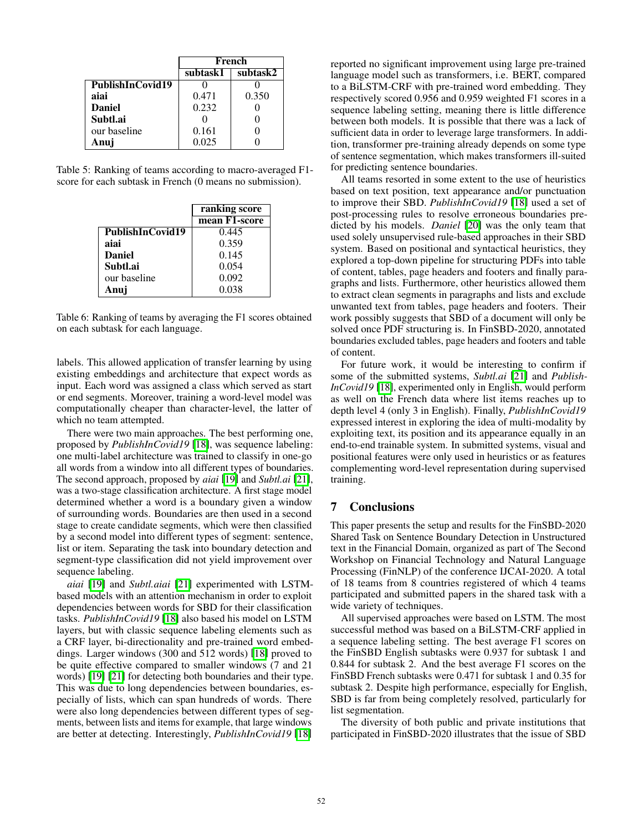<span id="page-5-0"></span>

|                  | French   |          |
|------------------|----------|----------|
|                  | subtask1 | subtask2 |
| PublishInCovid19 |          |          |
| aiai             | 0.471    | 0.350    |
| <b>Daniel</b>    | 0.232    |          |
| Subtl.ai         |          |          |
| our baseline     | 0.161    |          |
| Anui             | 0.025    |          |

Table 5: Ranking of teams according to macro-averaged F1 score for each subtask in French (0 means no submission).

|                  | ranking score |
|------------------|---------------|
|                  | mean F1-score |
| PublishInCovid19 | 0.445         |
| aiai             | 0.359         |
| <b>Daniel</b>    | 0.145         |
| Subtl.ai         | 0.054         |
| our baseline     | 0.092         |
| Anui             | 0.038         |

Table 6: Ranking of teams by averaging the F1 scores obtained on each subtask for each language.

labels. This allowed application of transfer learning by using existing embeddings and architecture that expect words as input. Each word was assigned a class which served as start or end segments. Moreover, training a word-level model was computationally cheaper than character-level, the latter of which no team attempted.

There were two main approaches. The best performing one, proposed by *PublishInCovid19* [\[18\]](#page-6-17), was sequence labeling: one multi-label architecture was trained to classify in one-go all words from a window into all different types of boundaries. The second approach, proposed by *aiai* [\[19\]](#page-6-18) and *Subtl.ai* [\[21\]](#page-6-20), was a two-stage classification architecture. A first stage model determined whether a word is a boundary given a window of surrounding words. Boundaries are then used in a second stage to create candidate segments, which were then classified by a second model into different types of segment: sentence, list or item. Separating the task into boundary detection and segment-type classification did not yield improvement over sequence labeling.

*aiai* [\[19\]](#page-6-18) and *Subtl.aiai* [\[21\]](#page-6-20) experimented with LSTMbased models with an attention mechanism in order to exploit dependencies between words for SBD for their classification tasks. *PublishInCovid19* [\[18\]](#page-6-17) also based his model on LSTM layers, but with classic sequence labeling elements such as a CRF layer, bi-directionality and pre-trained word embeddings. Larger windows (300 and 512 words) [\[18\]](#page-6-17) proved to be quite effective compared to smaller windows (7 and 21 words) [\[19\]](#page-6-18) [\[21\]](#page-6-20) for detecting both boundaries and their type. This was due to long dependencies between boundaries, especially of lists, which can span hundreds of words. There were also long dependencies between different types of segments, between lists and items for example, that large windows are better at detecting. Interestingly, *PublishInCovid19* [\[18\]](#page-6-17)

reported no significant improvement using large pre-trained language model such as transformers, i.e. BERT, compared to a BiLSTM-CRF with pre-trained word embedding. They respectively scored 0.956 and 0.959 weighted F1 scores in a sequence labeling setting, meaning there is little difference between both models. It is possible that there was a lack of sufficient data in order to leverage large transformers. In addition, transformer pre-training already depends on some type of sentence segmentation, which makes transformers ill-suited for predicting sentence boundaries.

All teams resorted in some extent to the use of heuristics based on text position, text appearance and/or punctuation to improve their SBD. *PublishInCovid19* [\[18\]](#page-6-17) used a set of post-processing rules to resolve erroneous boundaries predicted by his models. *Daniel* [\[20\]](#page-6-19) was the only team that used solely unsupervised rule-based approaches in their SBD system. Based on positional and syntactical heuristics, they explored a top-down pipeline for structuring PDFs into table of content, tables, page headers and footers and finally paragraphs and lists. Furthermore, other heuristics allowed them to extract clean segments in paragraphs and lists and exclude unwanted text from tables, page headers and footers. Their work possibly suggests that SBD of a document will only be solved once PDF structuring is. In FinSBD-2020, annotated boundaries excluded tables, page headers and footers and table of content.

For future work, it would be interesting to confirm if some of the submitted systems, *Subtl.ai* [\[21\]](#page-6-20) and *Publish-InCovid19* [\[18\]](#page-6-17), experimented only in English, would perform as well on the French data where list items reaches up to depth level 4 (only 3 in English). Finally, *PublishInCovid19* expressed interest in exploring the idea of multi-modality by exploiting text, its position and its appearance equally in an end-to-end trainable system. In submitted systems, visual and positional features were only used in heuristics or as features complementing word-level representation during supervised training.

## 7 Conclusions

This paper presents the setup and results for the FinSBD-2020 Shared Task on Sentence Boundary Detection in Unstructured text in the Financial Domain, organized as part of The Second Workshop on Financial Technology and Natural Language Processing (FinNLP) of the conference IJCAI-2020. A total of 18 teams from 8 countries registered of which 4 teams participated and submitted papers in the shared task with a wide variety of techniques.

All supervised approaches were based on LSTM. The most successful method was based on a BiLSTM-CRF applied in a sequence labeling setting. The best average F1 scores on the FinSBD English subtasks were 0.937 for subtask 1 and 0.844 for subtask 2. And the best average F1 scores on the FinSBD French subtasks were 0.471 for subtask 1 and 0.35 for subtask 2. Despite high performance, especially for English, SBD is far from being completely resolved, particularly for list segmentation.

The diversity of both public and private institutions that participated in FinSBD-2020 illustrates that the issue of SBD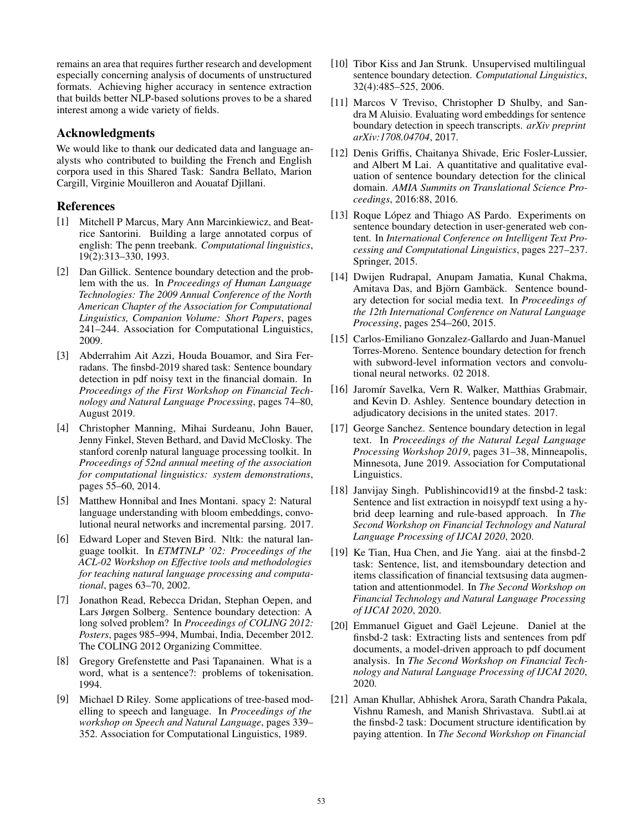remains an area that requires further research and development especially concerning analysis of documents of unstructured formats. Achieving higher accuracy in sentence extraction that builds better NLP-based solutions proves to be a shared interest among a wide variety of fields.

## Acknowledgments

We would like to thank our dedicated data and language analysts who contributed to building the French and English corpora used in this Shared Task: Sandra Bellato, Marion Cargill, Virginie Mouilleron and Aouataf Djillani.

## References

- <span id="page-6-0"></span>[1] Mitchell P Marcus, Mary Ann Marcinkiewicz, and Beatrice Santorini. Building a large annotated corpus of english: The penn treebank. *Computational linguistics*, 19(2):313–330, 1993.
- <span id="page-6-1"></span>[2] Dan Gillick. Sentence boundary detection and the problem with the us. In *Proceedings of Human Language Technologies: The 2009 Annual Conference of the North American Chapter of the Association for Computational Linguistics, Companion Volume: Short Papers*, pages 241–244. Association for Computational Linguistics, 2009.
- <span id="page-6-2"></span>[3] Abderrahim Ait Azzi, Houda Bouamor, and Sira Ferradans. The finsbd-2019 shared task: Sentence boundary detection in pdf noisy text in the financial domain. In *Proceedings of the First Workshop on Financial Technology and Natural Language Processing*, pages 74–80, August 2019.
- <span id="page-6-3"></span>[4] Christopher Manning, Mihai Surdeanu, John Bauer, Jenny Finkel, Steven Bethard, and David McClosky. The stanford corenlp natural language processing toolkit. In *Proceedings of 52nd annual meeting of the association for computational linguistics: system demonstrations*, pages 55–60, 2014.
- <span id="page-6-4"></span>[5] Matthew Honnibal and Ines Montani. spacy 2: Natural language understanding with bloom embeddings, convolutional neural networks and incremental parsing. 2017.
- <span id="page-6-5"></span>[6] Edward Loper and Steven Bird. Nltk: the natural language toolkit. In *ETMTNLP '02: Proceedings of the ACL-02 Workshop on Effective tools and methodologies for teaching natural language processing and computational*, pages 63–70, 2002.
- <span id="page-6-6"></span>[7] Jonathon Read, Rebecca Dridan, Stephan Oepen, and Lars Jørgen Solberg. Sentence boundary detection: A long solved problem? In *Proceedings of COLING 2012: Posters*, pages 985–994, Mumbai, India, December 2012. The COLING 2012 Organizing Committee.
- <span id="page-6-7"></span>[8] Gregory Grefenstette and Pasi Tapanainen. What is a word, what is a sentence?: problems of tokenisation. 1994.
- <span id="page-6-8"></span>[9] Michael D Riley. Some applications of tree-based modelling to speech and language. In *Proceedings of the workshop on Speech and Natural Language*, pages 339– 352. Association for Computational Linguistics, 1989.
- <span id="page-6-9"></span>[10] Tibor Kiss and Jan Strunk. Unsupervised multilingual sentence boundary detection. *Computational Linguistics*, 32(4):485–525, 2006.
- <span id="page-6-10"></span>[11] Marcos V Treviso, Christopher D Shulby, and Sandra M Aluisio. Evaluating word embeddings for sentence boundary detection in speech transcripts. *arXiv preprint arXiv:1708.04704*, 2017.
- <span id="page-6-11"></span>[12] Denis Griffis, Chaitanya Shivade, Eric Fosler-Lussier, and Albert M Lai. A quantitative and qualitative evaluation of sentence boundary detection for the clinical domain. *AMIA Summits on Translational Science Proceedings*, 2016:88, 2016.
- <span id="page-6-12"></span>[13] Roque López and Thiago AS Pardo. Experiments on sentence boundary detection in user-generated web content. In *International Conference on Intelligent Text Processing and Computational Linguistics*, pages 227–237. Springer, 2015.
- <span id="page-6-13"></span>[14] Dwijen Rudrapal, Anupam Jamatia, Kunal Chakma, Amitava Das, and Björn Gambäck. Sentence boundary detection for social media text. In *Proceedings of the 12th International Conference on Natural Language Processing*, pages 254–260, 2015.
- <span id="page-6-14"></span>[15] Carlos-Emiliano Gonzalez-Gallardo and Juan-Manuel Torres-Moreno. Sentence boundary detection for french with subword-level information vectors and convolutional neural networks. 02 2018.
- <span id="page-6-15"></span>[16] Jaromír Savelka, Vern R. Walker, Matthias Grabmair, and Kevin D. Ashley. Sentence boundary detection in adjudicatory decisions in the united states. 2017.
- <span id="page-6-16"></span>[17] George Sanchez. Sentence boundary detection in legal text. In *Proceedings of the Natural Legal Language Processing Workshop 2019*, pages 31–38, Minneapolis, Minnesota, June 2019. Association for Computational Linguistics.
- <span id="page-6-17"></span>[18] Janvijay Singh. Publishincovid19 at the finsbd-2 task: Sentence and list extraction in noisypdf text using a hybrid deep learning and rule-based approach. In *The Second Workshop on Financial Technology and Natural Language Processing of IJCAI 2020*, 2020.
- <span id="page-6-18"></span>[19] Ke Tian, Hua Chen, and Jie Yang. aiai at the finsbd-2 task: Sentence, list, and itemsboundary detection and items classification of financial textsusing data augmentation and attentionmodel. In *The Second Workshop on Financial Technology and Natural Language Processing of IJCAI 2020*, 2020.
- <span id="page-6-19"></span>[20] Emmanuel Giguet and Gaël Lejeune. Daniel at the finsbd-2 task: Extracting lists and sentences from pdf documents, a model-driven approach to pdf document analysis. In *The Second Workshop on Financial Technology and Natural Language Processing of IJCAI 2020*, 2020.
- <span id="page-6-20"></span>[21] Aman Khullar, Abhishek Arora, Sarath Chandra Pakala, Vishnu Ramesh, and Manish Shrivastava. Subtl.ai at the finsbd-2 task: Document structure identification by paying attention. In *The Second Workshop on Financial*